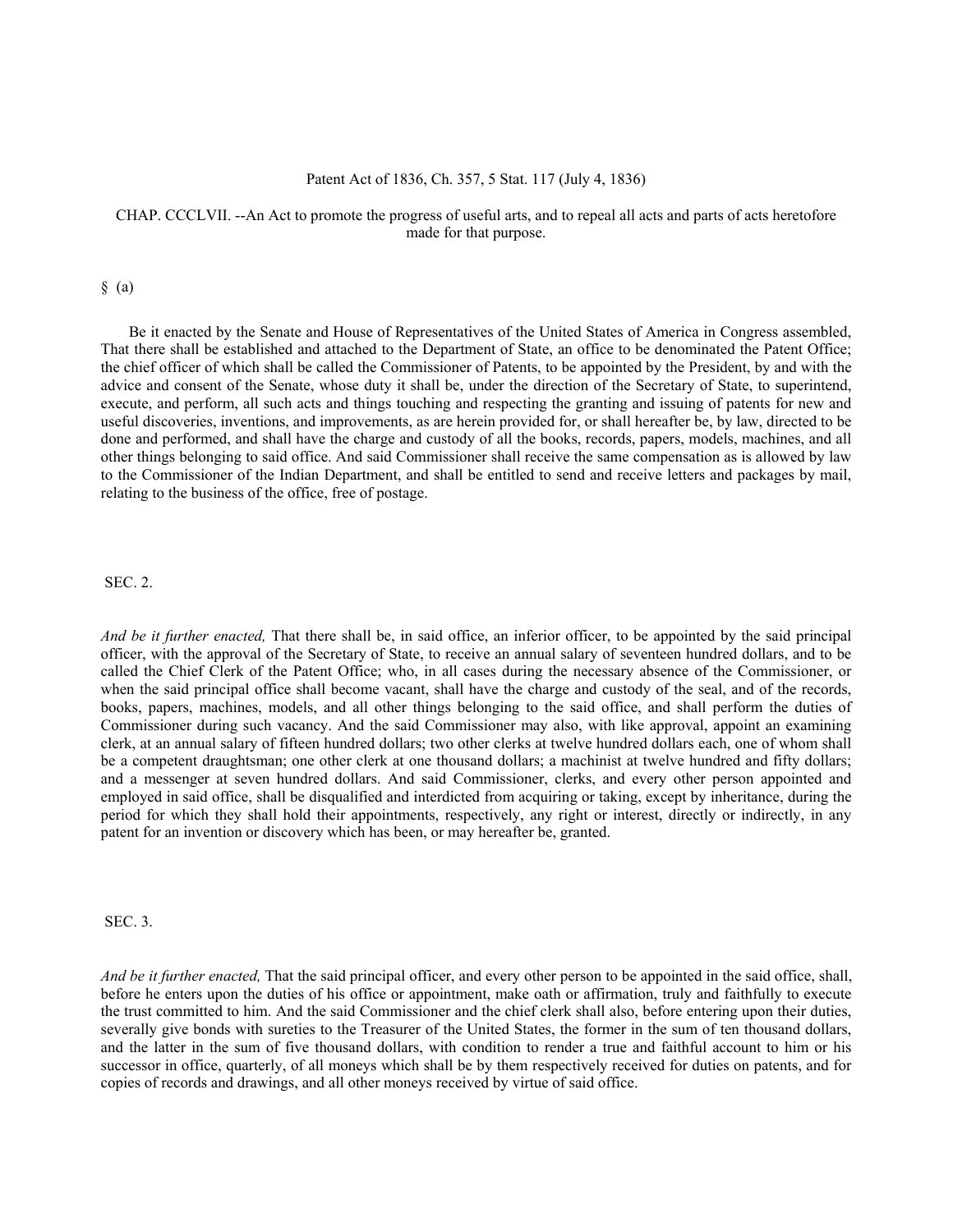#### Patent Act of 1836, Ch. 357, 5 Stat. 117 (July 4, 1836)

# CHAP. CCCLVII. --An Act to promote the progress of useful arts, and to repeal all acts and parts of acts heretofore made for that purpose.

#### $§$  (a)

Be it enacted by the Senate and House of Representatives of the United States of America in Congress assembled, That there shall be established and attached to the Department of State, an office to be denominated the Patent Office; the chief officer of which shall be called the Commissioner of Patents, to be appointed by the President, by and with the advice and consent of the Senate, whose duty it shall be, under the direction of the Secretary of State, to superintend, execute, and perform, all such acts and things touching and respecting the granting and issuing of patents for new and useful discoveries, inventions, and improvements, as are herein provided for, or shall hereafter be, by law, directed to be done and performed, and shall have the charge and custody of all the books, records, papers, models, machines, and all other things belonging to said office. And said Commissioner shall receive the same compensation as is allowed by law to the Commissioner of the Indian Department, and shall be entitled to send and receive letters and packages by mail, relating to the business of the office, free of postage.

# SEC. 2.

*And be it further enacted,* That there shall be, in said office, an inferior officer, to be appointed by the said principal officer, with the approval of the Secretary of State, to receive an annual salary of seventeen hundred dollars, and to be called the Chief Clerk of the Patent Office; who, in all cases during the necessary absence of the Commissioner, or when the said principal office shall become vacant, shall have the charge and custody of the seal, and of the records, books, papers, machines, models, and all other things belonging to the said office, and shall perform the duties of Commissioner during such vacancy. And the said Commissioner may also, with like approval, appoint an examining clerk, at an annual salary of fifteen hundred dollars; two other clerks at twelve hundred dollars each, one of whom shall be a competent draughtsman; one other clerk at one thousand dollars; a machinist at twelve hundred and fifty dollars; and a messenger at seven hundred dollars. And said Commissioner, clerks, and every other person appointed and employed in said office, shall be disqualified and interdicted from acquiring or taking, except by inheritance, during the period for which they shall hold their appointments, respectively, any right or interest, directly or indirectly, in any patent for an invention or discovery which has been, or may hereafter be, granted.

SEC. 3.

*And be it further enacted,* That the said principal officer, and every other person to be appointed in the said office, shall, before he enters upon the duties of his office or appointment, make oath or affirmation, truly and faithfully to execute the trust committed to him. And the said Commissioner and the chief clerk shall also, before entering upon their duties, severally give bonds with sureties to the Treasurer of the United States, the former in the sum of ten thousand dollars, and the latter in the sum of five thousand dollars, with condition to render a true and faithful account to him or his successor in office, quarterly, of all moneys which shall be by them respectively received for duties on patents, and for copies of records and drawings, and all other moneys received by virtue of said office.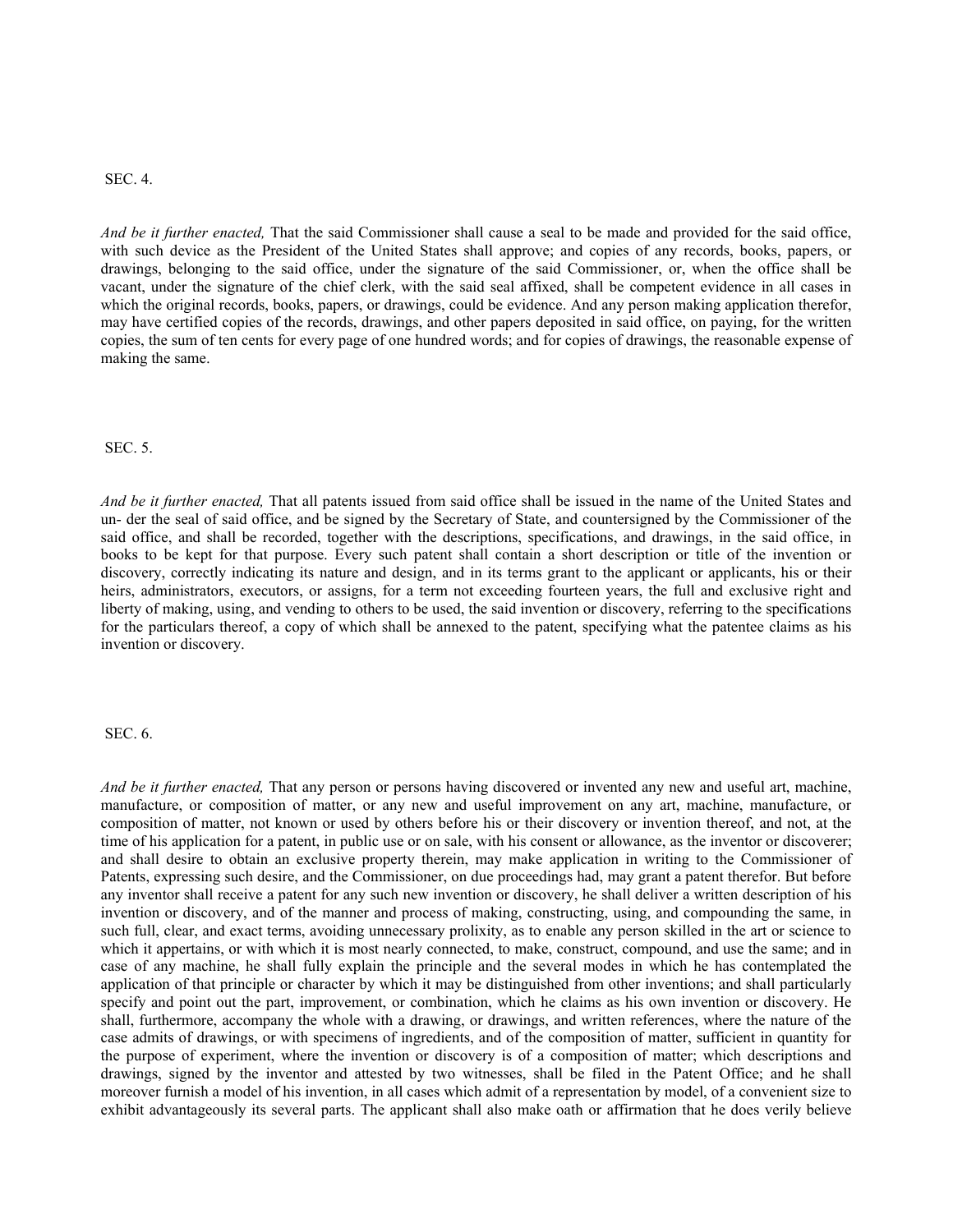## SEC. 4.

*And be it further enacted,* That the said Commissioner shall cause a seal to be made and provided for the said office, with such device as the President of the United States shall approve; and copies of any records, books, papers, or drawings, belonging to the said office, under the signature of the said Commissioner, or, when the office shall be vacant, under the signature of the chief clerk, with the said seal affixed, shall be competent evidence in all cases in which the original records, books, papers, or drawings, could be evidence. And any person making application therefor, may have certified copies of the records, drawings, and other papers deposited in said office, on paying, for the written copies, the sum of ten cents for every page of one hundred words; and for copies of drawings, the reasonable expense of making the same.

#### SEC. 5.

*And be it further enacted,* That all patents issued from said office shall be issued in the name of the United States and un- der the seal of said office, and be signed by the Secretary of State, and countersigned by the Commissioner of the said office, and shall be recorded, together with the descriptions, specifications, and drawings, in the said office, in books to be kept for that purpose. Every such patent shall contain a short description or title of the invention or discovery, correctly indicating its nature and design, and in its terms grant to the applicant or applicants, his or their heirs, administrators, executors, or assigns, for a term not exceeding fourteen years, the full and exclusive right and liberty of making, using, and vending to others to be used, the said invention or discovery, referring to the specifications for the particulars thereof, a copy of which shall be annexed to the patent, specifying what the patentee claims as his invention or discovery.

#### SEC. 6.

*And be it further enacted,* That any person or persons having discovered or invented any new and useful art, machine, manufacture, or composition of matter, or any new and useful improvement on any art, machine, manufacture, or composition of matter, not known or used by others before his or their discovery or invention thereof, and not, at the time of his application for a patent, in public use or on sale, with his consent or allowance, as the inventor or discoverer; and shall desire to obtain an exclusive property therein, may make application in writing to the Commissioner of Patents, expressing such desire, and the Commissioner, on due proceedings had, may grant a patent therefor. But before any inventor shall receive a patent for any such new invention or discovery, he shall deliver a written description of his invention or discovery, and of the manner and process of making, constructing, using, and compounding the same, in such full, clear, and exact terms, avoiding unnecessary prolixity, as to enable any person skilled in the art or science to which it appertains, or with which it is most nearly connected, to make, construct, compound, and use the same; and in case of any machine, he shall fully explain the principle and the several modes in which he has contemplated the application of that principle or character by which it may be distinguished from other inventions; and shall particularly specify and point out the part, improvement, or combination, which he claims as his own invention or discovery. He shall, furthermore, accompany the whole with a drawing, or drawings, and written references, where the nature of the case admits of drawings, or with specimens of ingredients, and of the composition of matter, sufficient in quantity for the purpose of experiment, where the invention or discovery is of a composition of matter; which descriptions and drawings, signed by the inventor and attested by two witnesses, shall be filed in the Patent Office; and he shall moreover furnish a model of his invention, in all cases which admit of a representation by model, of a convenient size to exhibit advantageously its several parts. The applicant shall also make oath or affirmation that he does verily believe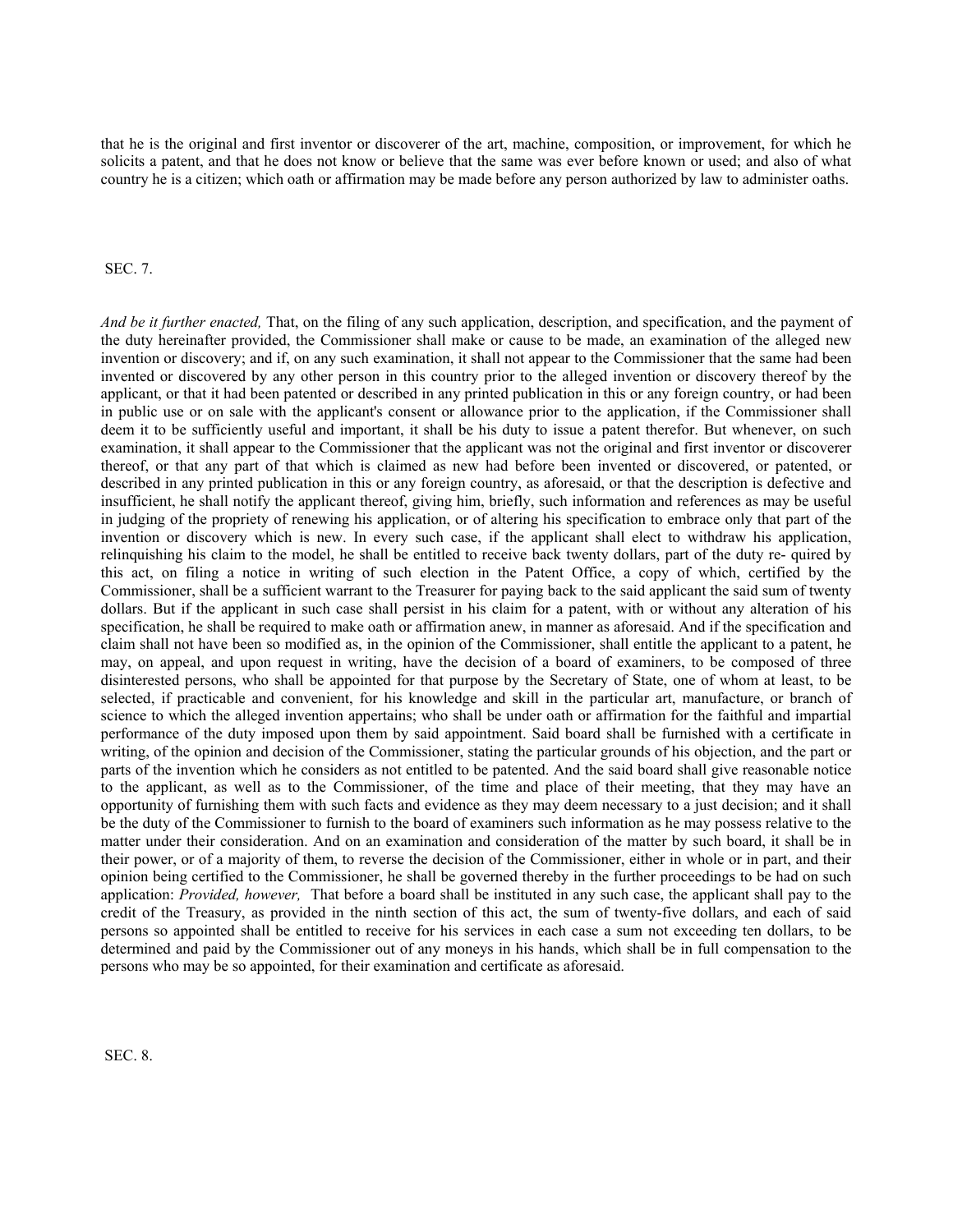that he is the original and first inventor or discoverer of the art, machine, composition, or improvement, for which he solicits a patent, and that he does not know or believe that the same was ever before known or used; and also of what country he is a citizen; which oath or affirmation may be made before any person authorized by law to administer oaths.

## SEC. 7.

*And be it further enacted,* That, on the filing of any such application, description, and specification, and the payment of the duty hereinafter provided, the Commissioner shall make or cause to be made, an examination of the alleged new invention or discovery; and if, on any such examination, it shall not appear to the Commissioner that the same had been invented or discovered by any other person in this country prior to the alleged invention or discovery thereof by the applicant, or that it had been patented or described in any printed publication in this or any foreign country, or had been in public use or on sale with the applicant's consent or allowance prior to the application, if the Commissioner shall deem it to be sufficiently useful and important, it shall be his duty to issue a patent therefor. But whenever, on such examination, it shall appear to the Commissioner that the applicant was not the original and first inventor or discoverer thereof, or that any part of that which is claimed as new had before been invented or discovered, or patented, or described in any printed publication in this or any foreign country, as aforesaid, or that the description is defective and insufficient, he shall notify the applicant thereof, giving him, briefly, such information and references as may be useful in judging of the propriety of renewing his application, or of altering his specification to embrace only that part of the invention or discovery which is new. In every such case, if the applicant shall elect to withdraw his application, relinquishing his claim to the model, he shall be entitled to receive back twenty dollars, part of the duty re- quired by this act, on filing a notice in writing of such election in the Patent Office, a copy of which, certified by the Commissioner, shall be a sufficient warrant to the Treasurer for paying back to the said applicant the said sum of twenty dollars. But if the applicant in such case shall persist in his claim for a patent, with or without any alteration of his specification, he shall be required to make oath or affirmation anew, in manner as aforesaid. And if the specification and claim shall not have been so modified as, in the opinion of the Commissioner, shall entitle the applicant to a patent, he may, on appeal, and upon request in writing, have the decision of a board of examiners, to be composed of three disinterested persons, who shall be appointed for that purpose by the Secretary of State, one of whom at least, to be selected, if practicable and convenient, for his knowledge and skill in the particular art, manufacture, or branch of science to which the alleged invention appertains; who shall be under oath or affirmation for the faithful and impartial performance of the duty imposed upon them by said appointment. Said board shall be furnished with a certificate in writing, of the opinion and decision of the Commissioner, stating the particular grounds of his objection, and the part or parts of the invention which he considers as not entitled to be patented. And the said board shall give reasonable notice to the applicant, as well as to the Commissioner, of the time and place of their meeting, that they may have an opportunity of furnishing them with such facts and evidence as they may deem necessary to a just decision; and it shall be the duty of the Commissioner to furnish to the board of examiners such information as he may possess relative to the matter under their consideration. And on an examination and consideration of the matter by such board, it shall be in their power, or of a majority of them, to reverse the decision of the Commissioner, either in whole or in part, and their opinion being certified to the Commissioner, he shall be governed thereby in the further proceedings to be had on such application: *Provided, however,* That before a board shall be instituted in any such case, the applicant shall pay to the credit of the Treasury, as provided in the ninth section of this act, the sum of twenty-five dollars, and each of said persons so appointed shall be entitled to receive for his services in each case a sum not exceeding ten dollars, to be determined and paid by the Commissioner out of any moneys in his hands, which shall be in full compensation to the persons who may be so appointed, for their examination and certificate as aforesaid.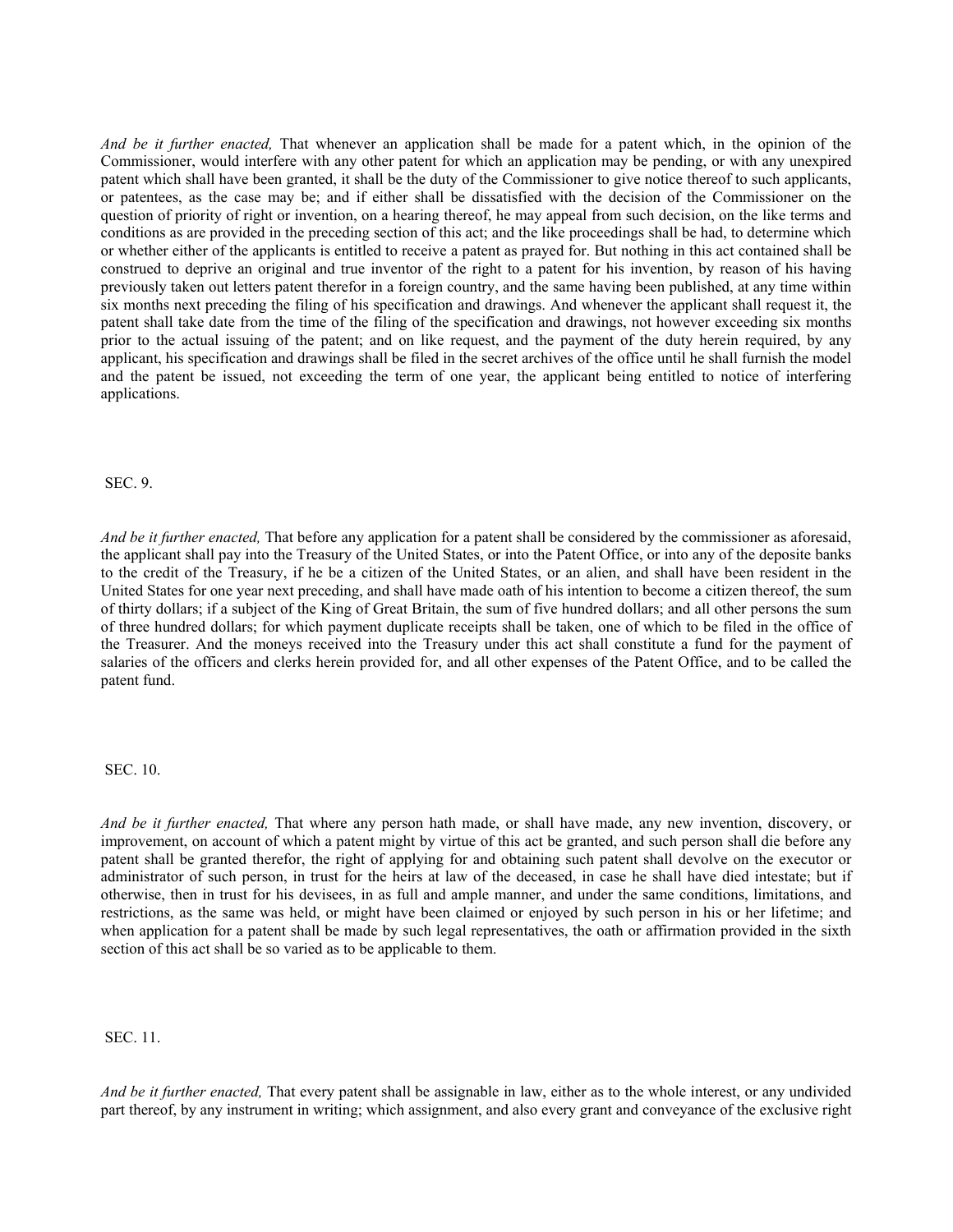*And be it further enacted,* That whenever an application shall be made for a patent which, in the opinion of the Commissioner, would interfere with any other patent for which an application may be pending, or with any unexpired patent which shall have been granted, it shall be the duty of the Commissioner to give notice thereof to such applicants, or patentees, as the case may be; and if either shall be dissatisfied with the decision of the Commissioner on the question of priority of right or invention, on a hearing thereof, he may appeal from such decision, on the like terms and conditions as are provided in the preceding section of this act; and the like proceedings shall be had, to determine which or whether either of the applicants is entitled to receive a patent as prayed for. But nothing in this act contained shall be construed to deprive an original and true inventor of the right to a patent for his invention, by reason of his having previously taken out letters patent therefor in a foreign country, and the same having been published, at any time within six months next preceding the filing of his specification and drawings. And whenever the applicant shall request it, the patent shall take date from the time of the filing of the specification and drawings, not however exceeding six months prior to the actual issuing of the patent; and on like request, and the payment of the duty herein required, by any applicant, his specification and drawings shall be filed in the secret archives of the office until he shall furnish the model and the patent be issued, not exceeding the term of one year, the applicant being entitled to notice of interfering applications.

SEC. 9.

*And be it further enacted,* That before any application for a patent shall be considered by the commissioner as aforesaid, the applicant shall pay into the Treasury of the United States, or into the Patent Office, or into any of the deposite banks to the credit of the Treasury, if he be a citizen of the United States, or an alien, and shall have been resident in the United States for one year next preceding, and shall have made oath of his intention to become a citizen thereof, the sum of thirty dollars; if a subject of the King of Great Britain, the sum of five hundred dollars; and all other persons the sum of three hundred dollars; for which payment duplicate receipts shall be taken, one of which to be filed in the office of the Treasurer. And the moneys received into the Treasury under this act shall constitute a fund for the payment of salaries of the officers and clerks herein provided for, and all other expenses of the Patent Office, and to be called the patent fund.

SEC. 10.

*And be it further enacted,* That where any person hath made, or shall have made, any new invention, discovery, or improvement, on account of which a patent might by virtue of this act be granted, and such person shall die before any patent shall be granted therefor, the right of applying for and obtaining such patent shall devolve on the executor or administrator of such person, in trust for the heirs at law of the deceased, in case he shall have died intestate; but if otherwise, then in trust for his devisees, in as full and ample manner, and under the same conditions, limitations, and restrictions, as the same was held, or might have been claimed or enjoyed by such person in his or her lifetime; and when application for a patent shall be made by such legal representatives, the oath or affirmation provided in the sixth section of this act shall be so varied as to be applicable to them.

SEC. 11.

*And be it further enacted,* That every patent shall be assignable in law, either as to the whole interest, or any undivided part thereof, by any instrument in writing; which assignment, and also every grant and conveyance of the exclusive right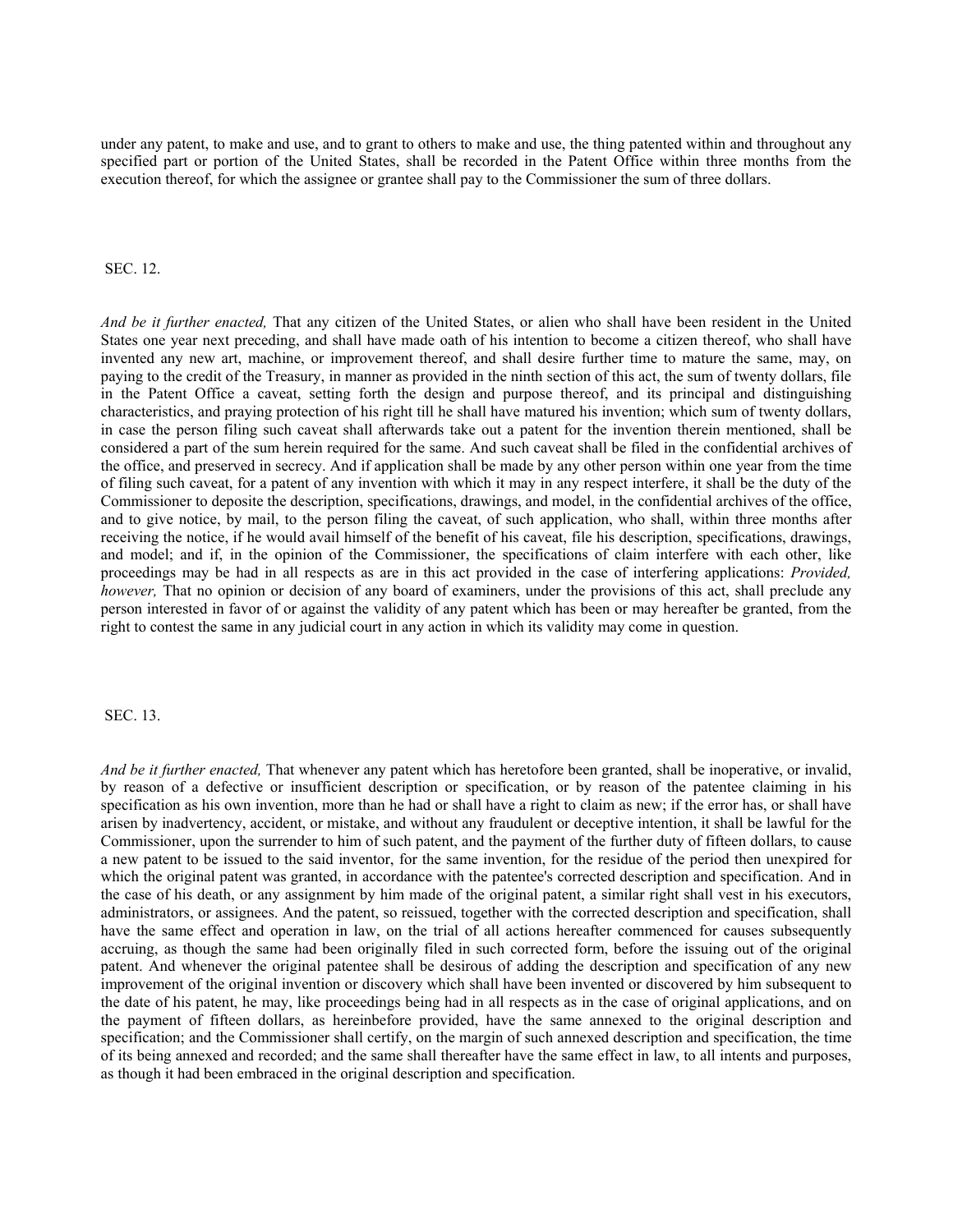under any patent, to make and use, and to grant to others to make and use, the thing patented within and throughout any specified part or portion of the United States, shall be recorded in the Patent Office within three months from the execution thereof, for which the assignee or grantee shall pay to the Commissioner the sum of three dollars.

### SEC. 12.

*And be it further enacted,* That any citizen of the United States, or alien who shall have been resident in the United States one year next preceding, and shall have made oath of his intention to become a citizen thereof, who shall have invented any new art, machine, or improvement thereof, and shall desire further time to mature the same, may, on paying to the credit of the Treasury, in manner as provided in the ninth section of this act, the sum of twenty dollars, file in the Patent Office a caveat, setting forth the design and purpose thereof, and its principal and distinguishing characteristics, and praying protection of his right till he shall have matured his invention; which sum of twenty dollars, in case the person filing such caveat shall afterwards take out a patent for the invention therein mentioned, shall be considered a part of the sum herein required for the same. And such caveat shall be filed in the confidential archives of the office, and preserved in secrecy. And if application shall be made by any other person within one year from the time of filing such caveat, for a patent of any invention with which it may in any respect interfere, it shall be the duty of the Commissioner to deposite the description, specifications, drawings, and model, in the confidential archives of the office, and to give notice, by mail, to the person filing the caveat, of such application, who shall, within three months after receiving the notice, if he would avail himself of the benefit of his caveat, file his description, specifications, drawings, and model; and if, in the opinion of the Commissioner, the specifications of claim interfere with each other, like proceedings may be had in all respects as are in this act provided in the case of interfering applications: *Provided, however,* That no opinion or decision of any board of examiners, under the provisions of this act, shall preclude any person interested in favor of or against the validity of any patent which has been or may hereafter be granted, from the right to contest the same in any judicial court in any action in which its validity may come in question.

#### SEC. 13.

*And be it further enacted,* That whenever any patent which has heretofore been granted, shall be inoperative, or invalid, by reason of a defective or insufficient description or specification, or by reason of the patentee claiming in his specification as his own invention, more than he had or shall have a right to claim as new; if the error has, or shall have arisen by inadvertency, accident, or mistake, and without any fraudulent or deceptive intention, it shall be lawful for the Commissioner, upon the surrender to him of such patent, and the payment of the further duty of fifteen dollars, to cause a new patent to be issued to the said inventor, for the same invention, for the residue of the period then unexpired for which the original patent was granted, in accordance with the patentee's corrected description and specification. And in the case of his death, or any assignment by him made of the original patent, a similar right shall vest in his executors, administrators, or assignees. And the patent, so reissued, together with the corrected description and specification, shall have the same effect and operation in law, on the trial of all actions hereafter commenced for causes subsequently accruing, as though the same had been originally filed in such corrected form, before the issuing out of the original patent. And whenever the original patentee shall be desirous of adding the description and specification of any new improvement of the original invention or discovery which shall have been invented or discovered by him subsequent to the date of his patent, he may, like proceedings being had in all respects as in the case of original applications, and on the payment of fifteen dollars, as hereinbefore provided, have the same annexed to the original description and specification; and the Commissioner shall certify, on the margin of such annexed description and specification, the time of its being annexed and recorded; and the same shall thereafter have the same effect in law, to all intents and purposes, as though it had been embraced in the original description and specification.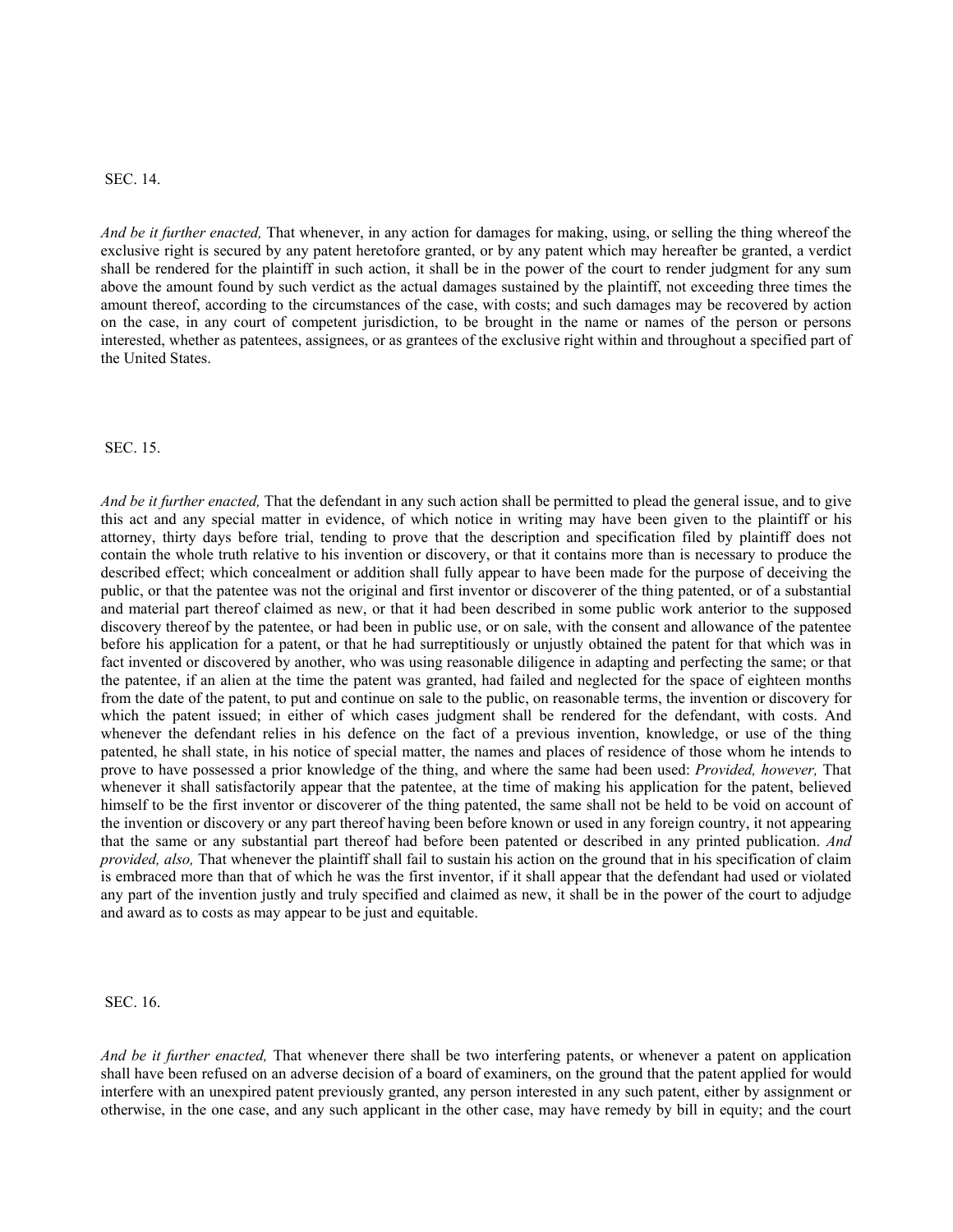## SEC. 14.

*And be it further enacted,* That whenever, in any action for damages for making, using, or selling the thing whereof the exclusive right is secured by any patent heretofore granted, or by any patent which may hereafter be granted, a verdict shall be rendered for the plaintiff in such action, it shall be in the power of the court to render judgment for any sum above the amount found by such verdict as the actual damages sustained by the plaintiff, not exceeding three times the amount thereof, according to the circumstances of the case, with costs; and such damages may be recovered by action on the case, in any court of competent jurisdiction, to be brought in the name or names of the person or persons interested, whether as patentees, assignees, or as grantees of the exclusive right within and throughout a specified part of the United States.

SEC. 15.

*And be it further enacted,* That the defendant in any such action shall be permitted to plead the general issue, and to give this act and any special matter in evidence, of which notice in writing may have been given to the plaintiff or his attorney, thirty days before trial, tending to prove that the description and specification filed by plaintiff does not contain the whole truth relative to his invention or discovery, or that it contains more than is necessary to produce the described effect; which concealment or addition shall fully appear to have been made for the purpose of deceiving the public, or that the patentee was not the original and first inventor or discoverer of the thing patented, or of a substantial and material part thereof claimed as new, or that it had been described in some public work anterior to the supposed discovery thereof by the patentee, or had been in public use, or on sale, with the consent and allowance of the patentee before his application for a patent, or that he had surreptitiously or unjustly obtained the patent for that which was in fact invented or discovered by another, who was using reasonable diligence in adapting and perfecting the same; or that the patentee, if an alien at the time the patent was granted, had failed and neglected for the space of eighteen months from the date of the patent, to put and continue on sale to the public, on reasonable terms, the invention or discovery for which the patent issued; in either of which cases judgment shall be rendered for the defendant, with costs. And whenever the defendant relies in his defence on the fact of a previous invention, knowledge, or use of the thing patented, he shall state, in his notice of special matter, the names and places of residence of those whom he intends to prove to have possessed a prior knowledge of the thing, and where the same had been used: *Provided, however,* That whenever it shall satisfactorily appear that the patentee, at the time of making his application for the patent, believed himself to be the first inventor or discoverer of the thing patented, the same shall not be held to be void on account of the invention or discovery or any part thereof having been before known or used in any foreign country, it not appearing that the same or any substantial part thereof had before been patented or described in any printed publication. *And provided, also,* That whenever the plaintiff shall fail to sustain his action on the ground that in his specification of claim is embraced more than that of which he was the first inventor, if it shall appear that the defendant had used or violated any part of the invention justly and truly specified and claimed as new, it shall be in the power of the court to adjudge and award as to costs as may appear to be just and equitable.

SEC. 16.

*And be it further enacted,* That whenever there shall be two interfering patents, or whenever a patent on application shall have been refused on an adverse decision of a board of examiners, on the ground that the patent applied for would interfere with an unexpired patent previously granted, any person interested in any such patent, either by assignment or otherwise, in the one case, and any such applicant in the other case, may have remedy by bill in equity; and the court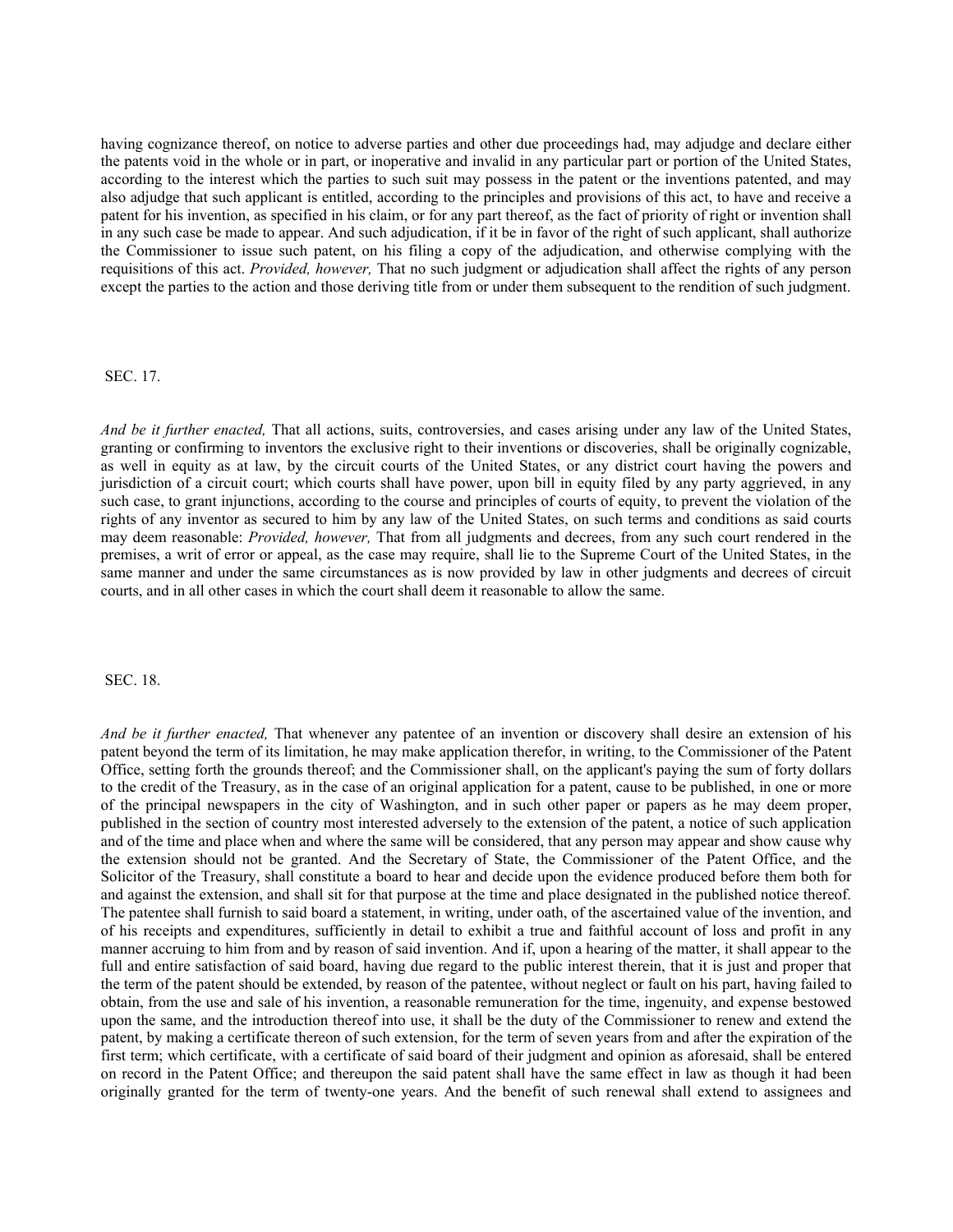having cognizance thereof, on notice to adverse parties and other due proceedings had, may adjudge and declare either the patents void in the whole or in part, or inoperative and invalid in any particular part or portion of the United States, according to the interest which the parties to such suit may possess in the patent or the inventions patented, and may also adjudge that such applicant is entitled, according to the principles and provisions of this act, to have and receive a patent for his invention, as specified in his claim, or for any part thereof, as the fact of priority of right or invention shall in any such case be made to appear. And such adjudication, if it be in favor of the right of such applicant, shall authorize the Commissioner to issue such patent, on his filing a copy of the adjudication, and otherwise complying with the requisitions of this act. *Provided, however,* That no such judgment or adjudication shall affect the rights of any person except the parties to the action and those deriving title from or under them subsequent to the rendition of such judgment.

### SEC. 17.

*And be it further enacted,* That all actions, suits, controversies, and cases arising under any law of the United States, granting or confirming to inventors the exclusive right to their inventions or discoveries, shall be originally cognizable, as well in equity as at law, by the circuit courts of the United States, or any district court having the powers and jurisdiction of a circuit court; which courts shall have power, upon bill in equity filed by any party aggrieved, in any such case, to grant injunctions, according to the course and principles of courts of equity, to prevent the violation of the rights of any inventor as secured to him by any law of the United States, on such terms and conditions as said courts may deem reasonable: *Provided, however,* That from all judgments and decrees, from any such court rendered in the premises, a writ of error or appeal, as the case may require, shall lie to the Supreme Court of the United States, in the same manner and under the same circumstances as is now provided by law in other judgments and decrees of circuit courts, and in all other cases in which the court shall deem it reasonable to allow the same.

### SEC. 18.

*And be it further enacted,* That whenever any patentee of an invention or discovery shall desire an extension of his patent beyond the term of its limitation, he may make application therefor, in writing, to the Commissioner of the Patent Office, setting forth the grounds thereof; and the Commissioner shall, on the applicant's paying the sum of forty dollars to the credit of the Treasury, as in the case of an original application for a patent, cause to be published, in one or more of the principal newspapers in the city of Washington, and in such other paper or papers as he may deem proper, published in the section of country most interested adversely to the extension of the patent, a notice of such application and of the time and place when and where the same will be considered, that any person may appear and show cause why the extension should not be granted. And the Secretary of State, the Commissioner of the Patent Office, and the Solicitor of the Treasury, shall constitute a board to hear and decide upon the evidence produced before them both for and against the extension, and shall sit for that purpose at the time and place designated in the published notice thereof. The patentee shall furnish to said board a statement, in writing, under oath, of the ascertained value of the invention, and of his receipts and expenditures, sufficiently in detail to exhibit a true and faithful account of loss and profit in any manner accruing to him from and by reason of said invention. And if, upon a hearing of the matter, it shall appear to the full and entire satisfaction of said board, having due regard to the public interest therein, that it is just and proper that the term of the patent should be extended, by reason of the patentee, without neglect or fault on his part, having failed to obtain, from the use and sale of his invention, a reasonable remuneration for the time, ingenuity, and expense bestowed upon the same, and the introduction thereof into use, it shall be the duty of the Commissioner to renew and extend the patent, by making a certificate thereon of such extension, for the term of seven years from and after the expiration of the first term; which certificate, with a certificate of said board of their judgment and opinion as aforesaid, shall be entered on record in the Patent Office; and thereupon the said patent shall have the same effect in law as though it had been originally granted for the term of twenty-one years. And the benefit of such renewal shall extend to assignees and